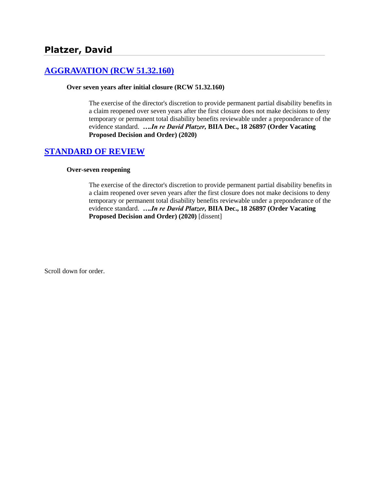# **[AGGRAVATION \(RCW 51.32.160\)](http://www.biia.wa.gov/SDSubjectIndex.html#AGGRAVATION)**

#### **Over seven years after initial closure (RCW 51.32.160)**

The exercise of the director's discretion to provide permanent partial disability benefits in a claim reopened over seven years after the first closure does not make decisions to deny temporary or permanent total disability benefits reviewable under a preponderance of the evidence standard. *….In re David Platzer,* **BIIA Dec., 18 26897 (Order Vacating Proposed Decision and Order) (2020)**

## **[STANDARD OF REVIEW](http://www.biia.wa.gov/SDSubjectIndex.html#STANDARD_OF_REVIEW)**

#### **Over-seven reopening**

The exercise of the director's discretion to provide permanent partial disability benefits in a claim reopened over seven years after the first closure does not make decisions to deny temporary or permanent total disability benefits reviewable under a preponderance of the evidence standard. *….In re David Platzer,* **BIIA Dec., 18 26897 (Order Vacating Proposed Decision and Order) (2020)** [dissent]

Scroll down for order.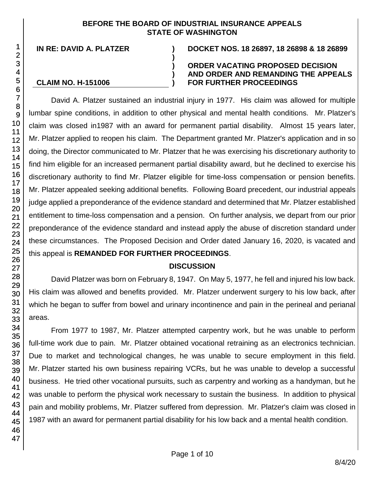#### **BEFORE THE BOARD OF INDUSTRIAL INSURANCE APPEALS STATE OF WASHINGTON**

**)**

**) ) )**

#### **CLAIM NO. H-151006**

**IN RE: DAVID A. PLATZER ) DOCKET NOS. 18 26897, 18 26898 & 18 26899**

#### **ORDER VACATING PROPOSED DECISION AND ORDER AND REMANDING THE APPEALS FOR FURTHER PROCEEDINGS**

David A. Platzer sustained an industrial injury in 1977. His claim was allowed for multiple lumbar spine conditions, in addition to other physical and mental health conditions. Mr. Platzer's claim was closed in1987 with an award for permanent partial disability. Almost 15 years later, Mr. Platzer applied to reopen his claim. The Department granted Mr. Platzer's application and in so doing, the Director communicated to Mr. Platzer that he was exercising his discretionary authority to find him eligible for an increased permanent partial disability award, but he declined to exercise his discretionary authority to find Mr. Platzer eligible for time-loss compensation or pension benefits. Mr. Platzer appealed seeking additional benefits. Following Board precedent, our industrial appeals judge applied a preponderance of the evidence standard and determined that Mr. Platzer established entitlement to time-loss compensation and a pension. On further analysis, we depart from our prior preponderance of the evidence standard and instead apply the abuse of discretion standard under these circumstances. The Proposed Decision and Order dated January 16, 2020, is vacated and this appeal is **REMANDED FOR FURTHER PROCEEDINGS**.

## **DISCUSSION**

David Platzer was born on February 8, 1947. On May 5, 1977, he fell and injured his low back. His claim was allowed and benefits provided. Mr. Platzer underwent surgery to his low back, after which he began to suffer from bowel and urinary incontinence and pain in the perineal and perianal areas.

From 1977 to 1987, Mr. Platzer attempted carpentry work, but he was unable to perform full-time work due to pain. Mr. Platzer obtained vocational retraining as an electronics technician. Due to market and technological changes, he was unable to secure employment in this field. Mr. Platzer started his own business repairing VCRs, but he was unable to develop a successful business. He tried other vocational pursuits, such as carpentry and working as a handyman, but he was unable to perform the physical work necessary to sustain the business. In addition to physical pain and mobility problems, Mr. Platzer suffered from depression. Mr. Platzer's claim was closed in 1987 with an award for permanent partial disability for his low back and a mental health condition.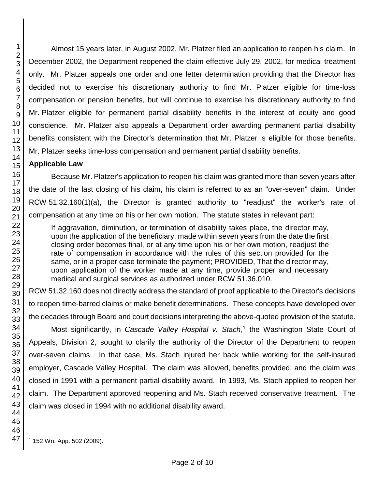Almost 15 years later, in August 2002, Mr. Platzer filed an application to reopen his claim. In December 2002, the Department reopened the claim effective July 29, 2002, for medical treatment only. Mr. Platzer appeals one order and one letter determination providing that the Director has decided not to exercise his discretionary authority to find Mr. Platzer eligible for time-loss compensation or pension benefits, but will continue to exercise his discretionary authority to find Mr. Platzer eligible for permanent partial disability benefits in the interest of equity and good conscience. Mr. Platzer also appeals a Department order awarding permanent partial disability benefits consistent with the Director's determination that Mr. Platzer is eligible for those benefits. Mr. Platzer seeks time-loss compensation and permanent partial disability benefits.

## **Applicable Law**

Because Mr. Platzer's application to reopen his claim was granted more than seven years after the date of the last closing of his claim, his claim is referred to as an "over-seven" claim. Under RCW 51.32.160(1)(a), the Director is granted authority to "readjust" the worker's rate of compensation at any time on his or her own motion. The statute states in relevant part:

If aggravation, diminution, or termination of disability takes place, the director may, upon the application of the beneficiary, made within seven years from the date the first closing order becomes final, or at any time upon his or her own motion, readjust the rate of compensation in accordance with the rules of this section provided for the same, or in a proper case terminate the payment; PROVIDED, That the director may, upon application of the worker made at any time, provide proper and necessary medical and surgical services as authorized under RCW 51.36.010.

RCW 51.32.160 does not directly address the standard of proof applicable to the Director's decisions to reopen time-barred claims or make benefit determinations. These concepts have developed over the decades through Board and court decisions interpreting the above-quoted provision of the statute.

Most significantly, in *Cascade Valley Hospital v. Stach*, 1 the Washington State Court of Appeals, Division 2, sought to clarify the authority of the Director of the Department to reopen over-seven claims. In that case, Ms. Stach injured her back while working for the self-insured employer, Cascade Valley Hospital. The claim was allowed, benefits provided, and the claim was closed in 1991 with a permanent partial disability award. In 1993, Ms. Stach applied to reopen her claim. The Department approved reopening and Ms. Stach received conservative treatment. The claim was closed in 1994 with no additional disability award.

1 2

l

<sup>1</sup> 152 Wn. App. 502 (2009).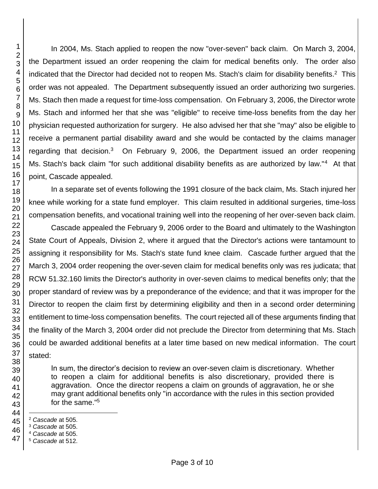In 2004, Ms. Stach applied to reopen the now "over-seven" back claim. On March 3, 2004, the Department issued an order reopening the claim for medical benefits only. The order also indicated that the Director had decided not to reopen Ms. Stach's claim for disability benefits.<sup>2</sup> This order was not appealed. The Department subsequently issued an order authorizing two surgeries. Ms. Stach then made a request for time-loss compensation. On February 3, 2006, the Director wrote Ms. Stach and informed her that she was "eligible" to receive time-loss benefits from the day her physician requested authorization for surgery. He also advised her that she "may" also be eligible to receive a permanent partial disability award and she would be contacted by the claims manager regarding that decision.<sup>3</sup> On February 9, 2006, the Department issued an order reopening Ms. Stach's back claim "for such additional disability benefits as are authorized by law."<sup>4</sup> At that point, Cascade appealed.

In a separate set of events following the 1991 closure of the back claim, Ms. Stach injured her knee while working for a state fund employer. This claim resulted in additional surgeries, time-loss compensation benefits, and vocational training well into the reopening of her over-seven back claim.

Cascade appealed the February 9, 2006 order to the Board and ultimately to the Washington State Court of Appeals, Division 2, where it argued that the Director's actions were tantamount to assigning it responsibility for Ms. Stach's state fund knee claim. Cascade further argued that the March 3, 2004 order reopening the over-seven claim for medical benefits only was res judicata; that RCW 51.32.160 limits the Director's authority in over-seven claims to medical benefits only; that the proper standard of review was by a preponderance of the evidence; and that it was improper for the Director to reopen the claim first by determining eligibility and then in a second order determining entitlement to time-loss compensation benefits. The court rejected all of these arguments finding that the finality of the March 3, 2004 order did not preclude the Director from determining that Ms. Stach could be awarded additional benefits at a later time based on new medical information. The court stated:

In sum, the director's decision to review an over-seven claim is discretionary. Whether to reopen a claim for additional benefits is also discretionary, provided there is aggravation. Once the director reopens a claim on grounds of aggravation, he or she may grant additional benefits only "in accordance with the rules in this section provided for the same." 5

*Cascade* at 512.

l *Cascade* at 505.

*Cascade* at 505.

*Cascade* at 505.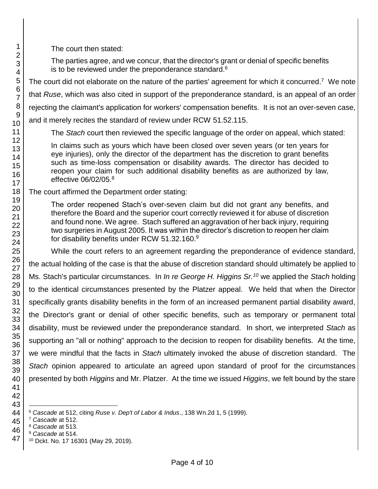The court then stated:

The parties agree, and we concur, that the director's grant or denial of specific benefits is to be reviewed under the preponderance standard. 6

The court did not elaborate on the nature of the parties' agreement for which it concurred.<sup>7</sup> We note

that *Ruse*, which was also cited in support of the preponderance standard, is an appeal of an order

rejecting the claimant's application for workers' compensation benefits. It is not an over-seven case,

and it merely recites the standard of review under RCW 51.52.115.

The *Stach* court then reviewed the specific language of the order on appeal, which stated:

In claims such as yours which have been closed over seven years (or ten years for eye injuries), only the director of the department has the discretion to grant benefits such as time-loss compensation or disability awards. The director has decided to reopen your claim for such additional disability benefits as are authorized by law, effective 06/02/05.<sup>8</sup>

The court affirmed the Department order stating:

The order reopened Stach's over-seven claim but did not grant any benefits, and therefore the Board and the superior court correctly reviewed it for abuse of discretion and found none. We agree. Stach suffered an aggravation of her back injury, requiring two surgeries in August 2005. It was within the director's discretion to reopen her claim for disability benefits under RCW 51.32.160.<sup>9</sup>

While the court refers to an agreement regarding the preponderance of evidence standard, the actual holding of the case is that the abuse of discretion standard should ultimately be applied to Ms. Stach's particular circumstances. In *In re George H. Higgins Sr.<sup>10</sup>* we applied the *Stach* holding to the identical circumstances presented by the Platzer appeal. We held that when the Director specifically grants disability benefits in the form of an increased permanent partial disability award, the Director's grant or denial of other specific benefits, such as temporary or permanent total disability, must be reviewed under the preponderance standard. In short, we interpreted *Stach* as supporting an "all or nothing" approach to the decision to reopen for disability benefits. At the time, we were mindful that the facts in *Stach* ultimately invoked the abuse of discretion standard. The *Stach* opinion appeared to articulate an agreed upon standard of proof for the circumstances presented by both *Higgins* and Mr. Platzer. At the time we issued *Higgins*, we felt bound by the stare

l

*Cascade* at 512, citing *Ruse v. Dep't of Labor & Indus*., 138 Wn.2d 1, 5 (1999).

*Cascade* at 512.

*Cascade* at 513.

 *Cascade* at 514.

Dckt. No. 17 16301 (May 29, 2019).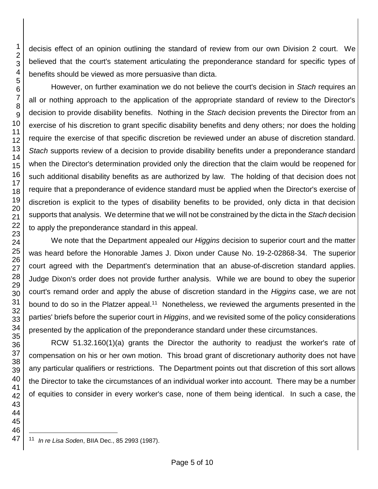decisis effect of an opinion outlining the standard of review from our own Division 2 court. We believed that the court's statement articulating the preponderance standard for specific types of benefits should be viewed as more persuasive than dicta.

However, on further examination we do not believe the court's decision in *Stach* requires an all or nothing approach to the application of the appropriate standard of review to the Director's decision to provide disability benefits. Nothing in the *Stach* decision prevents the Director from an exercise of his discretion to grant specific disability benefits and deny others; nor does the holding require the exercise of that specific discretion be reviewed under an abuse of discretion standard. *Stach* supports review of a decision to provide disability benefits under a preponderance standard when the Director's determination provided only the direction that the claim would be reopened for such additional disability benefits as are authorized by law. The holding of that decision does not require that a preponderance of evidence standard must be applied when the Director's exercise of discretion is explicit to the types of disability benefits to be provided, only dicta in that decision supports that analysis. We determine that we will not be constrained by the dicta in the *Stach* decision to apply the preponderance standard in this appeal.

We note that the Department appealed our *Higgins* decision to superior court and the matter was heard before the Honorable James J. Dixon under Cause No. 19-2-02868-34. The superior court agreed with the Department's determination that an abuse-of-discretion standard applies. Judge Dixon's order does not provide further analysis. While we are bound to obey the superior court's remand order and apply the abuse of discretion standard in the *Higgins* case, we are not bound to do so in the Platzer appeal.<sup>11</sup> Nonetheless, we reviewed the arguments presented in the parties' briefs before the superior court in *Higgins*, and we revisited some of the policy considerations presented by the application of the preponderance standard under these circumstances.

RCW 51.32.160(1)(a) grants the Director the authority to readjust the worker's rate of compensation on his or her own motion. This broad grant of discretionary authority does not have any particular qualifiers or restrictions. The Department points out that discretion of this sort allows the Director to take the circumstances of an individual worker into account. There may be a number of equities to consider in every worker's case, none of them being identical. In such a case, the

l

*In re Lisa Soden*, BIIA Dec., 85 2993 (1987).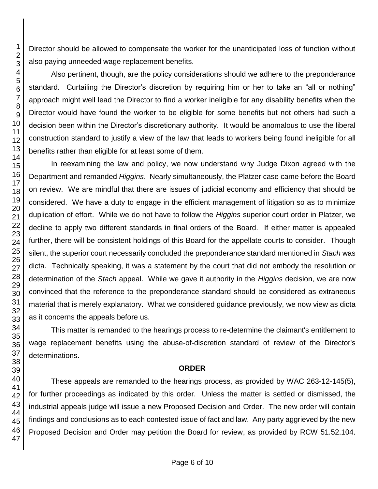Director should be allowed to compensate the worker for the unanticipated loss of function without also paying unneeded wage replacement benefits.

Also pertinent, though, are the policy considerations should we adhere to the preponderance standard. Curtailing the Director's discretion by requiring him or her to take an "all or nothing" approach might well lead the Director to find a worker ineligible for any disability benefits when the Director would have found the worker to be eligible for some benefits but not others had such a decision been within the Director's discretionary authority. It would be anomalous to use the liberal construction standard to justify a view of the law that leads to workers being found ineligible for all benefits rather than eligible for at least some of them.

In reexamining the law and policy, we now understand why Judge Dixon agreed with the Department and remanded *Higgins*. Nearly simultaneously, the Platzer case came before the Board on review. We are mindful that there are issues of judicial economy and efficiency that should be considered. We have a duty to engage in the efficient management of litigation so as to minimize duplication of effort. While we do not have to follow the *Higgins* superior court order in Platzer, we decline to apply two different standards in final orders of the Board. If either matter is appealed further, there will be consistent holdings of this Board for the appellate courts to consider. Though silent, the superior court necessarily concluded the preponderance standard mentioned in *Stach* was dicta. Technically speaking, it was a statement by the court that did not embody the resolution or determination of the *Stach* appeal. While we gave it authority in the *Higgins* decision, we are now convinced that the reference to the preponderance standard should be considered as extraneous material that is merely explanatory. What we considered guidance previously, we now view as dicta as it concerns the appeals before us.

This matter is remanded to the hearings process to re-determine the claimant's entitlement to wage replacement benefits using the abuse-of-discretion standard of review of the Director's determinations.

#### **ORDER**

These appeals are remanded to the hearings process, as provided by WAC 263-12-145(5), for further proceedings as indicated by this order. Unless the matter is settled or dismissed, the industrial appeals judge will issue a new Proposed Decision and Order. The new order will contain findings and conclusions as to each contested issue of fact and law. Any party aggrieved by the new Proposed Decision and Order may petition the Board for review, as provided by RCW 51.52.104.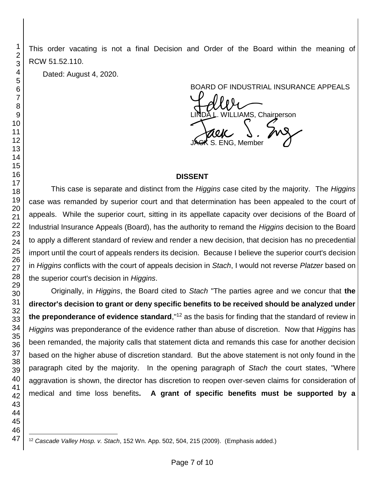This order vacating is not a final Decision and Order of the Board within the meaning of RCW 51.52.110.

Dated: August 4, 2020.

BOARD OF INDUSTRIAL INSURANCE APPEALS BOARD OF INDUSTRIAL INSURAM<br>LINDA L. WILLIAMS, Chairperson<br>JACK S. ENG, Member S. ENG, Member

## **DISSENT**

This case is separate and distinct from the *Higgins* case cited by the majority. The *Higgins* case was remanded by superior court and that determination has been appealed to the court of appeals. While the superior court, sitting in its appellate capacity over decisions of the Board of Industrial Insurance Appeals (Board), has the authority to remand the *Higgins* decision to the Board to apply a different standard of review and render a new decision, that decision has no precedential import until the court of appeals renders its decision. Because I believe the superior court's decision in *Higgins* conflicts with the court of appeals decision in *Stach*, I would not reverse *Platzer* based on the superior court's decision in *Higgins*.

Originally, in *Higgins*, the Board cited to *Stach* "The parties agree and we concur that **the director's decision to grant or deny specific benefits to be received should be analyzed under the preponderance of evidence standard**,"<sup>12</sup> as the basis for finding that the standard of review in *Higgins* was preponderance of the evidence rather than abuse of discretion. Now that *Higgins* has been remanded, the majority calls that statement dicta and remands this case for another decision based on the higher abuse of discretion standard. But the above statement is not only found in the paragraph cited by the majority. In the opening paragraph of *Stach* the court states, "Where aggravation is shown, the director has discretion to reopen over-seven claims for consideration of medical and time loss benefits**. A grant of specific benefits must be supported by a** 

*Cascade Valley Hosp. v. Stach*, 152 Wn. App. 502, 504, 215 (2009). (Emphasis added.)

l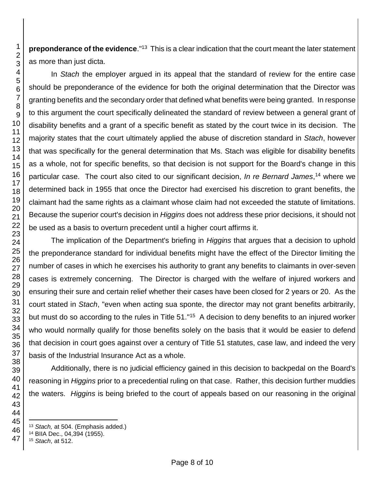**preponderance of the evidence**."<sup>13</sup> This is a clear indication that the court meant the later statement as more than just dicta.

In *Stach* the employer argued in its appeal that the standard of review for the entire case should be preponderance of the evidence for both the original determination that the Director was granting benefits and the secondary order that defined what benefits were being granted. In response to this argument the court specifically delineated the standard of review between a general grant of disability benefits and a grant of a specific benefit as stated by the court twice in its decision. The majority states that the court ultimately applied the abuse of discretion standard in *Stach*, however that was specifically for the general determination that Ms. Stach was eligible for disability benefits as a whole, not for specific benefits, so that decision is not support for the Board's change in this particular case. The court also cited to our significant decision, *In re Bernard James*, <sup>14</sup> where we determined back in 1955 that once the Director had exercised his discretion to grant benefits, the claimant had the same rights as a claimant whose claim had not exceeded the statute of limitations. Because the superior court's decision in *Higgins* does not address these prior decisions, it should not be used as a basis to overturn precedent until a higher court affirms it.

The implication of the Department's briefing in *Higgins* that argues that a decision to uphold the preponderance standard for individual benefits might have the effect of the Director limiting the number of cases in which he exercises his authority to grant any benefits to claimants in over-seven cases is extremely concerning. The Director is charged with the welfare of injured workers and ensuring their sure and certain relief whether their cases have been closed for 2 years or 20. As the court stated in *Stach*, "even when acting sua sponte, the director may not grant benefits arbitrarily, but must do so according to the rules in Title 51."<sup>15</sup> A decision to deny benefits to an injured worker who would normally qualify for those benefits solely on the basis that it would be easier to defend that decision in court goes against over a century of Title 51 statutes, case law, and indeed the very basis of the Industrial Insurance Act as a whole.

Additionally, there is no judicial efficiency gained in this decision to backpedal on the Board's reasoning in *Higgins* prior to a precedential ruling on that case. Rather, this decision further muddies the waters. *Higgins* is being briefed to the court of appeals based on our reasoning in the original

*Stach*, at 512.

l *Stach,* at 504. (Emphasis added.)

BIIA Dec., 04,394 (1955).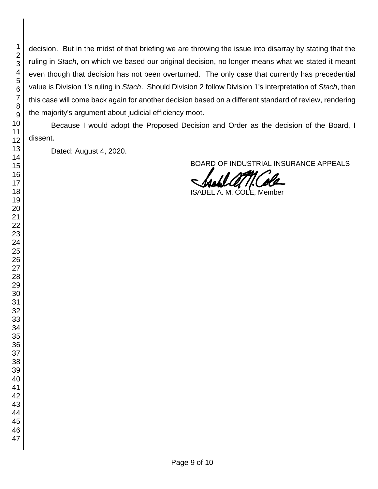decision. But in the midst of that briefing we are throwing the issue into disarray by stating that the ruling in *Stach*, on which we based our original decision, no longer means what we stated it meant even though that decision has not been overturned. The only case that currently has precedential value is Division 1's ruling in *Stach*. Should Division 2 follow Division 1's interpretation of *Stach*, then this case will come back again for another decision based on a different standard of review, rendering the majority's argument about judicial efficiency moot.

Because I would adopt the Proposed Decision and Order as the decision of the Board, I dissent.

Dated: August 4, 2020.

BOARD OF INDUSTRIAL INSURANCE APPEALS

€ ISABEL A. M. COLE, Member